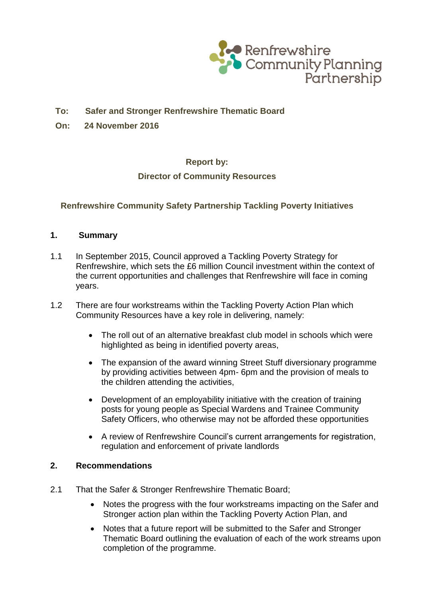

# **To: Safer and Stronger Renfrewshire Thematic Board**

**On: 24 November 2016**

# **Report by:**

# **Director of Community Resources**

# **Renfrewshire Community Safety Partnership Tackling Poverty Initiatives**

#### **1. Summary**

- 1.1 In September 2015, Council approved a Tackling Poverty Strategy for Renfrewshire, which sets the £6 million Council investment within the context of the current opportunities and challenges that Renfrewshire will face in coming years.
- 1.2 There are four workstreams within the Tackling Poverty Action Plan which Community Resources have a key role in delivering, namely:
	- The roll out of an alternative breakfast club model in schools which were highlighted as being in identified poverty areas,
	- The expansion of the award winning Street Stuff diversionary programme by providing activities between 4pm- 6pm and the provision of meals to the children attending the activities,
	- Development of an employability initiative with the creation of training posts for young people as Special Wardens and Trainee Community Safety Officers, who otherwise may not be afforded these opportunities
	- A review of Renfrewshire Council's current arrangements for registration, regulation and enforcement of private landlords

### **2. Recommendations**

- 2.1 That the Safer & Stronger Renfrewshire Thematic Board;
	- Notes the progress with the four workstreams impacting on the Safer and Stronger action plan within the Tackling Poverty Action Plan, and
	- Notes that a future report will be submitted to the Safer and Stronger Thematic Board outlining the evaluation of each of the work streams upon completion of the programme.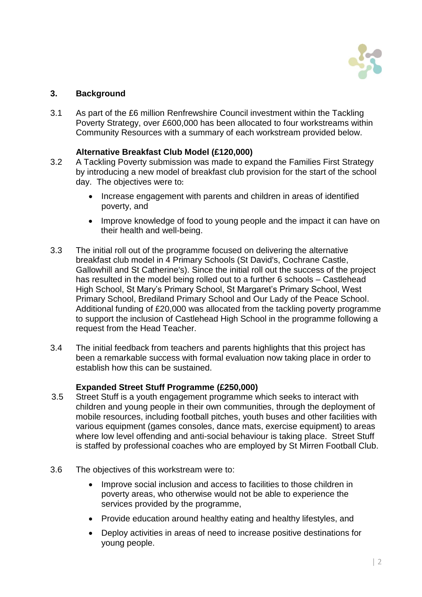

# **3. Background**

3.1 As part of the £6 million Renfrewshire Council investment within the Tackling Poverty Strategy, over £600,000 has been allocated to four workstreams within Community Resources with a summary of each workstream provided below.

# **Alternative Breakfast Club Model (£120,000)**

- 3.2 A Tackling Poverty submission was made to expand the Families First Strategy by introducing a new model of breakfast club provision for the start of the school day. The objectives were to:
	- Increase engagement with parents and children in areas of identified poverty, and
	- Improve knowledge of food to young people and the impact it can have on their health and well-being.
- 3.3 The initial roll out of the programme focused on delivering the alternative breakfast club model in 4 Primary Schools (St David's, Cochrane Castle, Gallowhill and St Catherine's). Since the initial roll out the success of the project has resulted in the model being rolled out to a further 6 schools – Castlehead High School, St Mary's Primary School, St Margaret's Primary School, West Primary School, Brediland Primary School and Our Lady of the Peace School. Additional funding of £20,000 was allocated from the tackling poverty programme to support the inclusion of Castlehead High School in the programme following a request from the Head Teacher.
- 3.4 The initial feedback from teachers and parents highlights that this project has been a remarkable success with formal evaluation now taking place in order to establish how this can be sustained.

### **Expanded Street Stuff Programme (£250,000)**

- 3.5 Street Stuff is a youth engagement programme which seeks to interact with children and young people in their own communities, through the deployment of mobile resources, including football pitches, youth buses and other facilities with various equipment (games consoles, dance mats, exercise equipment) to areas where low level offending and anti-social behaviour is taking place. Street Stuff is staffed by professional coaches who are employed by St Mirren Football Club.
- 3.6 The objectives of this workstream were to:
	- Improve social inclusion and access to facilities to those children in poverty areas, who otherwise would not be able to experience the services provided by the programme,
	- Provide education around healthy eating and healthy lifestyles, and
	- Deploy activities in areas of need to increase positive destinations for young people.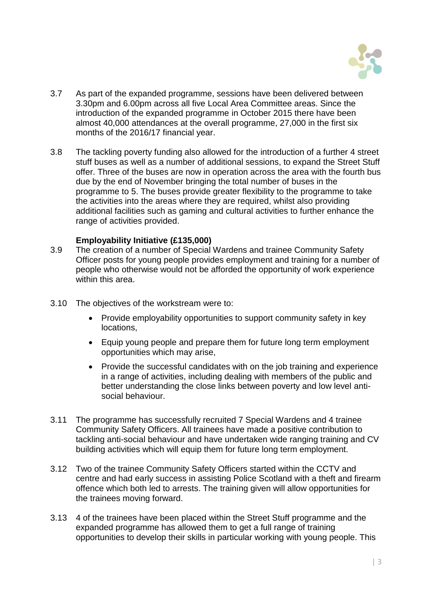

- 3.7 As part of the expanded programme, sessions have been delivered between 3.30pm and 6.00pm across all five Local Area Committee areas. Since the introduction of the expanded programme in October 2015 there have been almost 40,000 attendances at the overall programme, 27,000 in the first six months of the 2016/17 financial year.
- 3.8 The tackling poverty funding also allowed for the introduction of a further 4 street stuff buses as well as a number of additional sessions, to expand the Street Stuff offer. Three of the buses are now in operation across the area with the fourth bus due by the end of November bringing the total number of buses in the programme to 5. The buses provide greater flexibility to the programme to take the activities into the areas where they are required, whilst also providing additional facilities such as gaming and cultural activities to further enhance the range of activities provided.

### **Employability Initiative (£135,000)**

- 3.9 The creation of a number of Special Wardens and trainee Community Safety Officer posts for young people provides employment and training for a number of people who otherwise would not be afforded the opportunity of work experience within this area.
- 3.10 The objectives of the workstream were to:
	- Provide employability opportunities to support community safety in key locations,
	- Equip young people and prepare them for future long term employment opportunities which may arise,
	- Provide the successful candidates with on the job training and experience in a range of activities, including dealing with members of the public and better understanding the close links between poverty and low level antisocial behaviour.
- 3.11 The programme has successfully recruited 7 Special Wardens and 4 trainee Community Safety Officers. All trainees have made a positive contribution to tackling anti-social behaviour and have undertaken wide ranging training and CV building activities which will equip them for future long term employment.
- 3.12 Two of the trainee Community Safety Officers started within the CCTV and centre and had early success in assisting Police Scotland with a theft and firearm offence which both led to arrests. The training given will allow opportunities for the trainees moving forward.
- 3.13 4 of the trainees have been placed within the Street Stuff programme and the expanded programme has allowed them to get a full range of training opportunities to develop their skills in particular working with young people. This